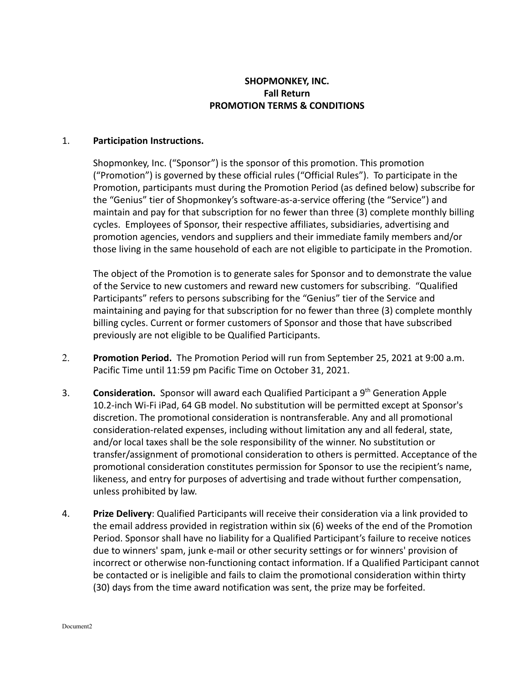## **SHOPMONKEY, INC. Fall Return PROMOTION TERMS & CONDITIONS**

## 1. **Participation Instructions.**

Shopmonkey, Inc. ("Sponsor") is the sponsor of this promotion. This promotion ("Promotion") is governed by these official rules ("Official Rules"). To participate in the Promotion, participants must during the Promotion Period (as defined below) subscribe for the "Genius" tier of Shopmonkey's software-as-a-service offering (the "Service") and maintain and pay for that subscription for no fewer than three (3) complete monthly billing cycles. Employees of Sponsor, their respective affiliates, subsidiaries, advertising and promotion agencies, vendors and suppliers and their immediate family members and/or those living in the same household of each are not eligible to participate in the Promotion.

The object of the Promotion is to generate sales for Sponsor and to demonstrate the value of the Service to new customers and reward new customers for subscribing. "Qualified Participants" refers to persons subscribing for the "Genius" tier of the Service and maintaining and paying for that subscription for no fewer than three (3) complete monthly billing cycles. Current or former customers of Sponsor and those that have subscribed previously are not eligible to be Qualified Participants.

- 2. **Promotion Period.** The Promotion Period will run from September 25, 2021 at 9:00 a.m. Pacific Time until 11:59 pm Pacific Time on October 31, 2021.
- 3. **Consideration.** Sponsor will award each Qualified Participant a 9<sup>th</sup> Generation Apple 10.2-inch Wi-Fi iPad, 64 GB model. No substitution will be permitted except at Sponsor's discretion. The promotional consideration is nontransferable. Any and all promotional consideration-related expenses, including without limitation any and all federal, state, and/or local taxes shall be the sole responsibility of the winner. No substitution or transfer/assignment of promotional consideration to others is permitted. Acceptance of the promotional consideration constitutes permission for Sponsor to use the recipient's name, likeness, and entry for purposes of advertising and trade without further compensation, unless prohibited by law.
- 4. **Prize Delivery**: Qualified Participants will receive their consideration via a link provided to the email address provided in registration within six (6) weeks of the end of the Promotion Period. Sponsor shall have no liability for a Qualified Participant's failure to receive notices due to winners' spam, junk e-mail or other security settings or for winners' provision of incorrect or otherwise non-functioning contact information. If a Qualified Participant cannot be contacted or is ineligible and fails to claim the promotional consideration within thirty (30) days from the time award notification was sent, the prize may be forfeited.